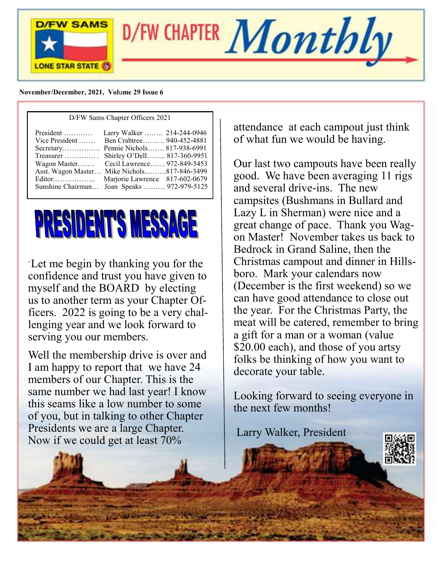

D/FW CHAPTER  $Montbly$ 

#### **November/December, 2021, Vol**u**me 29 Issue 6**



`Let me begin by thanking you for the confidence and trust you have given to myself and the BOARD by electing us to another term as your Chapter Officers. 2022 is going to be a very challenging year and we look forward to serving you our members.

Well the membership drive is over and I am happy to report that we have 24 members of our Chapter. This is the same number we had last year! I know this seams like a low number to some of you, but in talking to other Chapter Presidents we are a large Chapter. Now if we could get at least 70%

attendance at each campout just think of what fun we would be having.

Our last two campouts have been really good. We have been averaging 11 rigs and several drive-ins. The new campsites (Bushmans in Bullard and Lazy L in Sherman) were nice and a great change of pace. Thank you Wagon Master! November takes us back to Bedrock in Grand Saline, then the Christmas campout and dinner in Hillsboro. Mark your calendars now (December is the first weekend) so we can have good attendance to close out the year. For the Christmas Party, the meat will be catered, remember to bring a gift for a man or a woman (value \$20.00 each), and those of you artsy folks be thinking of how you want to decorate your table.

Looking forward to seeing everyone in the next few months!

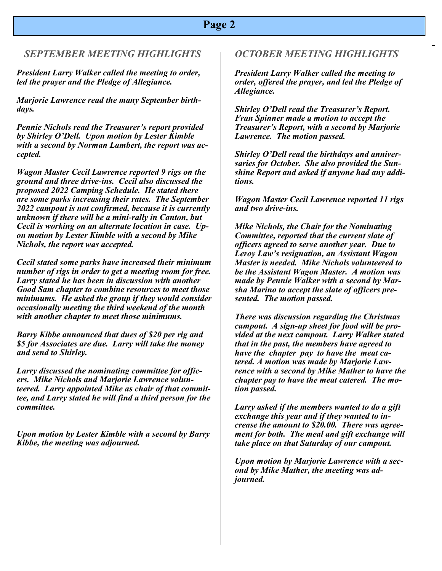### **Page 2**

### *SEPTEMBER MEETING HIGHLIGHTS*

*President Larry Walker called the meeting to order, led the prayer and the Pledge of Allegiance.*

*Marjorie Lawrence read the many September birthdays.*

*Pennie Nichols read the Treasurer's report provided by Shirley O'Dell. Upon motion by Lester Kimble with a second by Norman Lambert, the report was accepted.*

*Wagon Master Cecil Lawrence reported 9 rigs on the ground and three drive-ins. Cecil also discussed the proposed 2022 Camping Schedule. He stated there are some parks increasing their rates. The September 2022 campout is not confirmed, because it is currently unknown if there will be a mini-rally in Canton, but Cecil is working on an alternate location in case. Upon motion by Lester Kimble with a second by Mike Nichols, the report was accepted.*

*Cecil stated some parks have increased their minimum number of rigs in order to get a meeting room for free. Larry stated he has been in discussion with another Good Sam chapter to combine resources to meet those minimums. He asked the group if they would consider occasionally meeting the third weekend of the month with another chapter to meet those minimums.*

*Barry Kibbe announced that dues of \$20 per rig and \$5 for Associates are due. Larry will take the money and send to Shirley.*

*Larry discussed the nominating committee for officers. Mike Nichols and Marjorie Lawrence volunteered. Larry appointed Mike as chair of that committee, and Larry stated he will find a third person for the committee.*

*Upon motion by Lester Kimble with a second by Barry Kibbe, the meeting was adjourned.*

#### *OCTOBER MEETING HIGHLIGHTS*

 *Allegiance. President Larry Walker called the meeting to order, offered the prayer, and led the Pledge of* 

*Shirley O'Dell read the Treasurer's Report. Fran Spinner made a motion to accept the Treasurer's Report, with a second by Marjorie Lawrence. The motion passed.*

*Shirley O'Dell read the birthdays and anniversaries for October. She also provided the Sunshine Report and asked if anyone had any additions.*

*Wagon Master Cecil Lawrence reported 11 rigs and two drive-ins.*

*Mike Nichols, the Chair for the Nominating Committee, reported that the current slate of officers agreed to serve another year. Due to Leroy Law's resignation, an Assistant Wagon Master is needed. Mike Nichols volunteered to be the Assistant Wagon Master. A motion was made by Pennie Walker with a second by Marsha Marino to accept the slate of officers presented. The motion passed.*

*There was discussion regarding the Christmas campout. A sign-up sheet for food will be provided at the next campout. Larry Walker stated that in the past, the members have agreed to have the chapter pay to have the meat catered. A motion was made by Marjorie Lawrence with a second by Mike Mather to have the chapter pay to have the meat catered. The motion passed.*

*Larry asked if the members wanted to do a gift exchange this year and if they wanted to increase the amount to \$20.00. There was agreement for both. The meal and gift exchange will take place on that Saturday of our campout.*

*Upon motion by Marjorie Lawrence with a second by Mike Mather, the meeting was adjourned.*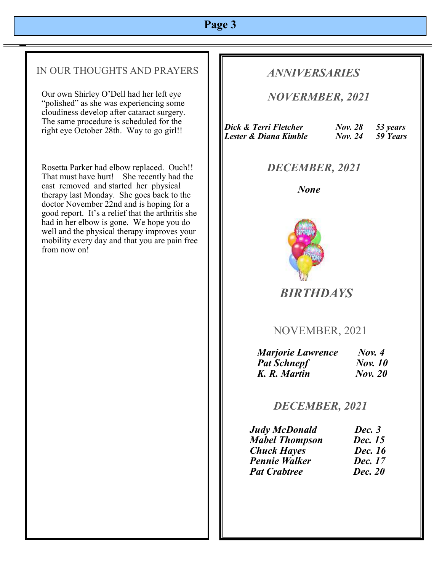## **Page 3**

### IN OUR THOUGHTS AND PRAYERS

Our own Shirley O'Dell had her left eye "polished" as she was experiencing some cloudiness develop after cataract surgery. The same procedure is scheduled for the right eye October 28th. Way to go girl!!

Rosetta Parker had elbow replaced. Ouch!! That must have hurt! She recently had the cast removed and started her physical therapy last Monday. She goes back to the doctor November 22nd and is hoping for a good report. It's a relief that the arthritis she had in her elbow is gone. We hope you do well and the physical therapy improves your mobility every day and that you are pain free from now on!

### *ANNIVERSARIES*

 *NOVERMBER, 2021* 

| Dick & Terri Fletcher | <b>Nov. 28</b> | 53 years |
|-----------------------|----------------|----------|
| Lester & Diana Kimble | <b>Nov.</b> 24 | 59 Years |

### *DECEMBER, 2021*

 *None*



 *BIRTHDAYS* 

NOVEMBER, 2021

| <b>Marjorie Lawrence</b> | Now. 4         |
|--------------------------|----------------|
| <b>Pat Schnepf</b>       | <b>Nov.</b> 10 |
| K. R. Martin             | <b>Nov. 20</b> |

 *DECEMBER, 2021*

| <b>Judy McDonald</b>  | Dec. 3         |
|-----------------------|----------------|
| <b>Mabel Thompson</b> | Dec. 15        |
| <b>Chuck Hayes</b>    | Dec. 16        |
| <b>Pennie Walker</b>  | Dec. 17        |
| <b>Pat Crabtree</b>   | <b>Dec. 20</b> |